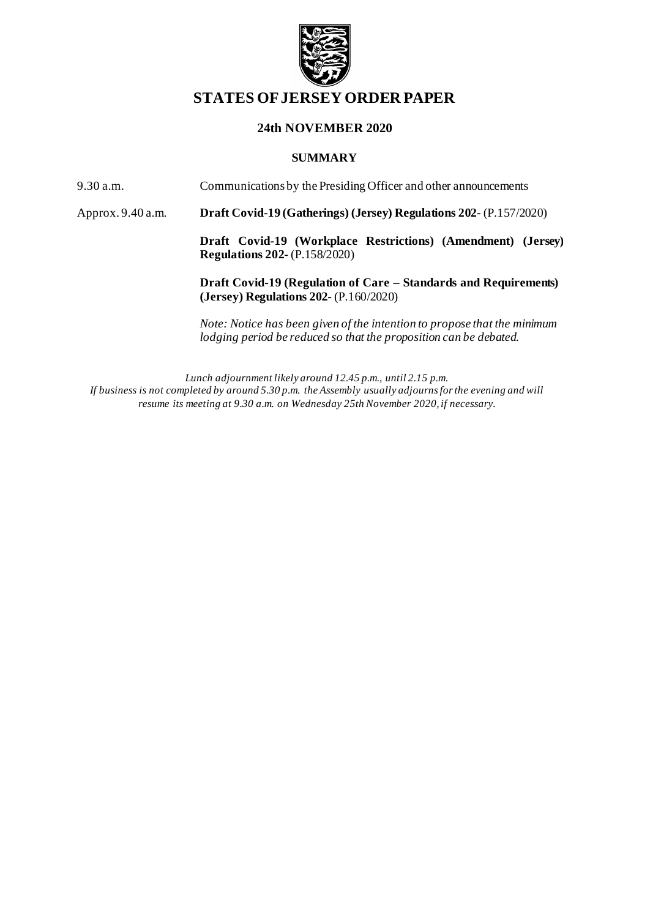

# **STATES OF JERSEY ORDER PAPER**

### **24th NOVEMBER 2020**

#### **SUMMARY**

9.30 a.m. Communications by the Presiding Officer and other announcements

Approx. 9.40 a.m. **Draft Covid-19 (Gatherings) (Jersey) Regulations 202-** (P.157/2020)

**Draft Covid-19 (Workplace Restrictions) (Amendment) (Jersey) Regulations 202-** (P.158/2020)

**Draft Covid-19 (Regulation of Care – Standards and Requirements) (Jersey) Regulations 202-** (P.160/2020)

*Note: Notice has been given of the intention to propose that the minimum lodging period be reduced so that the proposition can be debated.*

*Lunch adjournment likely around 12.45 p.m., until 2.15 p.m. If business is not completed by around 5.30 p.m. the Assembly usually adjourns for the evening and will resume its meeting at 9.30 a.m. on Wednesday 25th November 2020,if necessary.*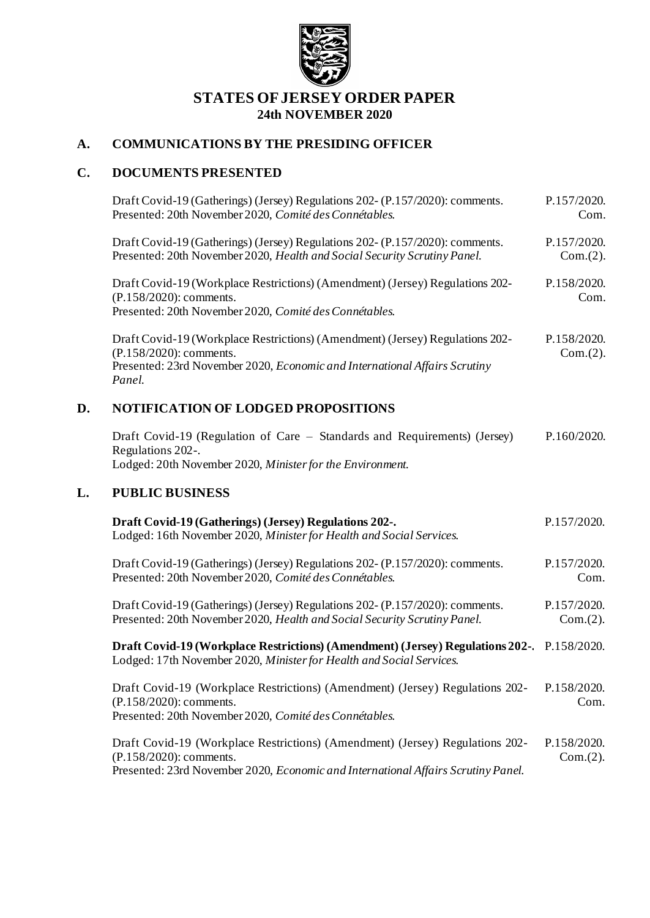

## **STATES OF JERSEY ORDER PAPER 24th NOVEMBER 2020**

## **A. COMMUNICATIONS BY THE PRESIDING OFFICER**

# **C. DOCUMENTS PRESENTED**

|    | Draft Covid-19 (Gatherings) (Jersey) Regulations 202- (P.157/2020): comments.<br>Presented: 20th November 2020, Comité des Connétables.                                                          | P.157/2020.<br>Com.     |
|----|--------------------------------------------------------------------------------------------------------------------------------------------------------------------------------------------------|-------------------------|
|    | Draft Covid-19 (Gatherings) (Jersey) Regulations 202- (P.157/2020): comments.<br>Presented: 20th November 2020, Health and Social Security Scrutiny Panel.                                       | P.157/2020.<br>Com.(2). |
|    | Draft Covid-19 (Workplace Restrictions) (Amendment) (Jersey) Regulations 202-<br>(P.158/2020): comments.<br>Presented: 20th November 2020, Comité des Connétables.                               | P.158/2020.<br>Com.     |
|    | Draft Covid-19 (Workplace Restrictions) (Amendment) (Jersey) Regulations 202-<br>(P.158/2020): comments.<br>Presented: 23rd November 2020, Economic and International Affairs Scrutiny<br>Panel. | P.158/2020.<br>Com.(2). |
| D. | NOTIFICATION OF LODGED PROPOSITIONS                                                                                                                                                              |                         |
|    | Draft Covid-19 (Regulation of Care – Standards and Requirements) (Jersey)<br>Regulations 202-.<br>Lodged: 20th November 2020, Minister for the Environment.                                      | P.160/2020.             |
| L. | <b>PUBLIC BUSINESS</b>                                                                                                                                                                           |                         |
|    | Draft Covid-19 (Gatherings) (Jersey) Regulations 202-.<br>Lodged: 16th November 2020, Minister for Health and Social Services.                                                                   | P.157/2020.             |
|    | Draft Covid-19 (Gatherings) (Jersey) Regulations 202- (P.157/2020): comments.<br>Presented: 20th November 2020, Comité des Connétables.                                                          | P.157/2020.<br>Com.     |
|    | Draft Covid-19 (Gatherings) (Jersey) Regulations 202- (P.157/2020): comments.<br>Presented: 20th November 2020, Health and Social Security Scrutiny Panel.                                       | P.157/2020.<br>Com.(2). |
|    | Draft Covid-19 (Workplace Restrictions) (Amendment) (Jersey) Regulations 202-. P.158/2020.<br>Lodged: 17th November 2020, Minister for Health and Social Services.                               |                         |
|    | Draft Covid-19 (Workplace Restrictions) (Amendment) (Jersey) Regulations 202-<br>(P.158/2020): comments.<br>Presented: 20th November 2020, Comité des Connétables.                               | P.158/2020.<br>Com.     |
|    | Draft Covid-19 (Workplace Restrictions) (Amendment) (Jersey) Regulations 202-<br>(P.158/2020): comments.<br>Presented: 23rd November 2020, Economic and International Affairs Scrutiny Panel.    | P.158/2020.<br>Com.(2). |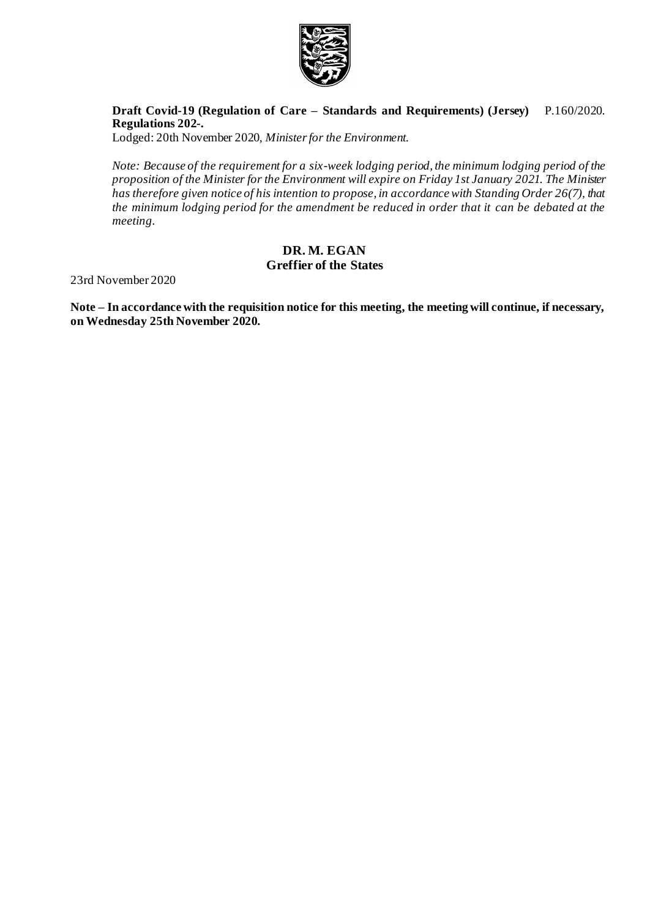

#### **Draft Covid-19 (Regulation of Care – [Standards and Requirements\) \(Jersey\)](https://statesassembly.gov.je/AssemblyPropositions/2020/P.160-2020.pdf)  [Regulations 202-.](https://statesassembly.gov.je/AssemblyPropositions/2020/P.160-2020.pdf)** [P.160/2020.](https://statesassembly.gov.je/AssemblyPropositions/2020/P.160-2020.pdf)

[Lodged: 20th November 2020,](https://statesassembly.gov.je/AssemblyPropositions/2020/P.160-2020.pdf) *Minister for the Environment.*

*Note: Because of the requirement for a six-week lodging period, the minimum lodging period of the proposition of the Minister for the Environment will expire on Friday 1st January 2021. The Minister has therefore given notice of his intention to propose, in accordance with Standing Order 26(7), that the minimum lodging period for the amendment be reduced in order that it can be debated at the meeting.*

## **DR. M. EGAN Greffier of the States**

23rd November 2020

**Note – In accordance with the requisition notice for this meeting, the meeting will continue, if necessary, on Wednesday 25th November 2020.**